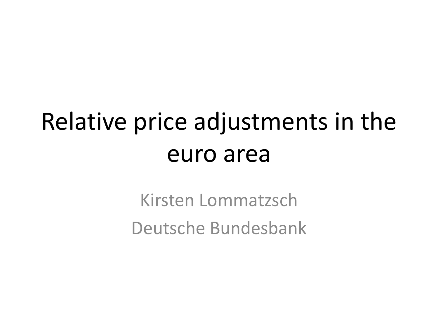## Relative price adjustments in the euro area

Kirsten Lommatzsch Deutsche Bundesbank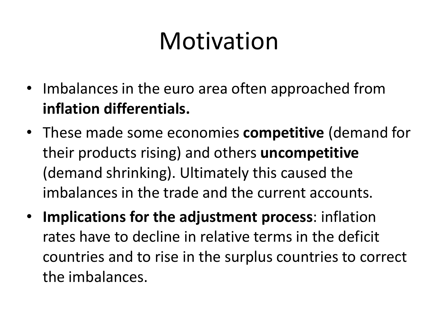# Motivation

- Imbalances in the euro area often approached from **inflation differentials.**
- These made some economies **competitive** (demand for their products rising) and others **uncompetitive** (demand shrinking). Ultimately this caused the imbalances in the trade and the current accounts.
- **Implications for the adjustment process**: inflation rates have to decline in relative terms in the deficit countries and to rise in the surplus countries to correct the imbalances.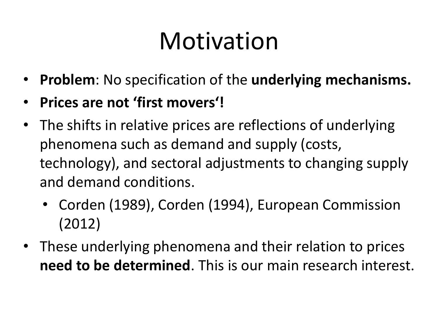# Motivation

- **Problem**: No specification of the **underlying mechanisms.**
- **Prices are not 'first movers'!**
- The shifts in relative prices are reflections of underlying phenomena such as demand and supply (costs, technology), and sectoral adjustments to changing supply and demand conditions.
	- Corden (1989), Corden (1994), European Commission (2012)
- These underlying phenomena and their relation to prices **need to be determined**. This is our main research interest.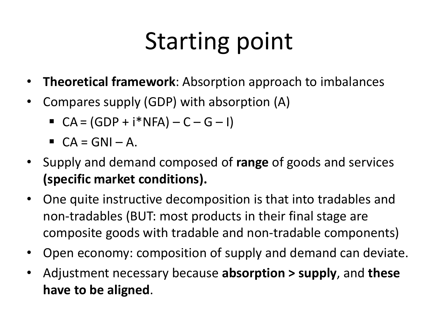# Starting point

- **Theoretical framework**: Absorption approach to imbalances
- Compares supply (GDP) with absorption (A)
	- $CA = (GDP + i*NFA) C G I)$
	- $\blacksquare$   $CA = GNI A$ .
- Supply and demand composed of **range** of goods and services **(specific market conditions).**
- One quite instructive decomposition is that into tradables and non-tradables (BUT: most products in their final stage are composite goods with tradable and non-tradable components)
- Open economy: composition of supply and demand can deviate.
- Adjustment necessary because **absorption > supply**, and **these have to be aligned**.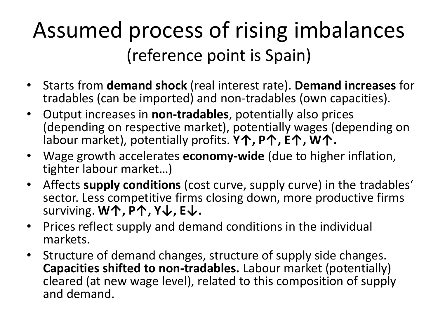#### Assumed process of rising imbalances (reference point is Spain)

- Starts from **demand shock** (real interest rate). **Demand increases** for tradables (can be imported) and non-tradables (own capacities).
- Output increases in **non-tradables**, potentially also prices (depending on respective market), potentially wages (depending on labour market), potentially profits. **Y↑, P↑, E↑, W↑.**
- Wage growth accelerates **economy-wide** (due to higher inflation, tighter labour market…)
- Affects **supply conditions** (cost curve, supply curve) in the tradables' sector. Less competitive firms closing down, more productive firms surviving. **W↑, P↑, Y↓, E↓.**
- Prices reflect supply and demand conditions in the individual markets.
- Structure of demand changes, structure of supply side changes. **Capacities shifted to non-tradables.** Labour market (potentially) cleared (at new wage level), related to this composition of supply and demand.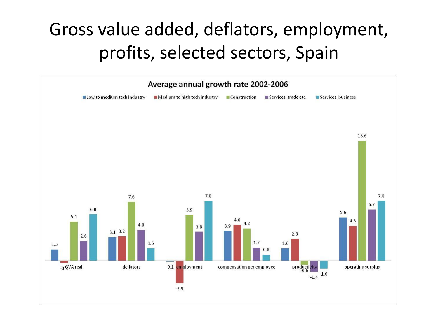#### Gross value added, deflators, employment, profits, selected sectors, Spain

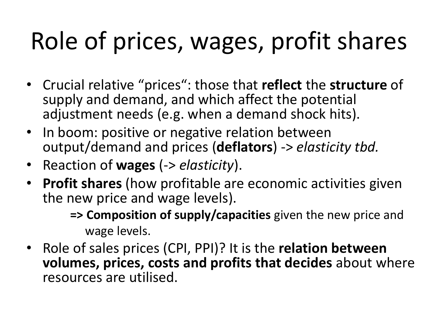# Role of prices, wages, profit shares

- Crucial relative "prices": those that **reflect** the **structure** of supply and demand, and which affect the potential adjustment needs (e.g. when a demand shock hits).
- In boom: positive or negative relation between output/demand and prices (**deflators**) -> *elasticity tbd.*
- Reaction of **wages** (-> *elasticity*).
- **Profit shares** (how profitable are economic activities given the new price and wage levels).

**=> Composition of supply/capacities** given the new price and wage levels.

• Role of sales prices (CPI, PPI)? It is the **relation between volumes, prices, costs and profits that decides** about where resources are utilised.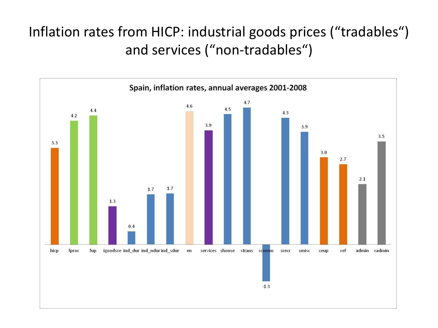#### Inflation rates from HICP: industrial goods prices ("tradables") and services ("non-tradables")

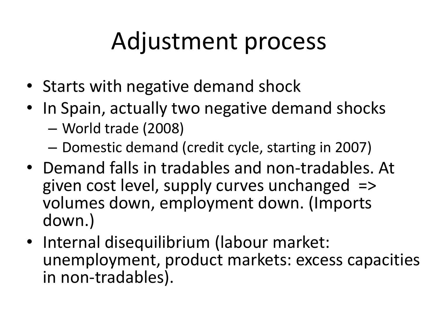# Adjustment process

- Starts with negative demand shock
- In Spain, actually two negative demand shocks
	- World trade (2008)
	- Domestic demand (credit cycle, starting in 2007)
- Demand falls in tradables and non-tradables. At given cost level, supply curves unchanged => volumes down, employment down. (Imports down.)
- Internal disequilibrium (labour market: unemployment, product markets: excess capacities in non-tradables).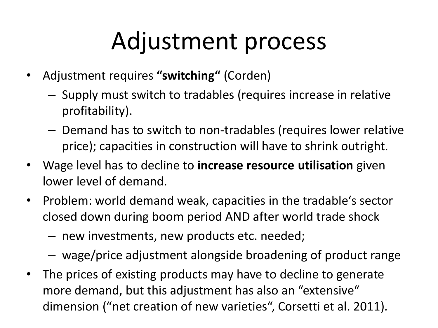# Adjustment process

- Adjustment requires **"switching"** (Corden)
	- Supply must switch to tradables (requires increase in relative profitability).
	- Demand has to switch to non-tradables (requires lower relative price); capacities in construction will have to shrink outright.
- Wage level has to decline to **increase resource utilisation** given lower level of demand.
- Problem: world demand weak, capacities in the tradable's sector closed down during boom period AND after world trade shock
	- new investments, new products etc. needed;
	- wage/price adjustment alongside broadening of product range
- The prices of existing products may have to decline to generate more demand, but this adjustment has also an "extensive" dimension ("net creation of new varieties", Corsetti et al. 2011).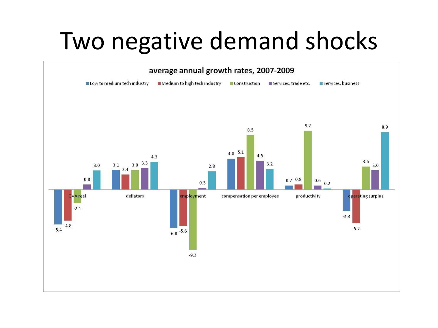### Two negative demand shocks

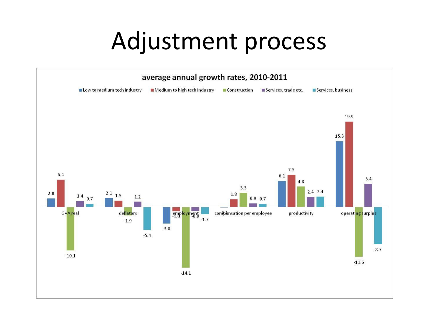#### Adjustment process

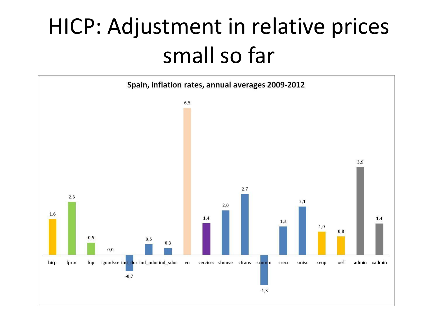### HICP: Adjustment in relative prices small so far

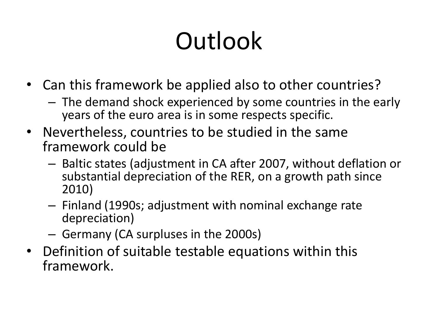# **Outlook**

- Can this framework be applied also to other countries?
	- The demand shock experienced by some countries in the early years of the euro area is in some respects specific.
- Nevertheless, countries to be studied in the same framework could be
	- Baltic states (adjustment in CA after 2007, without deflation or substantial depreciation of the RER, on a growth path since 2010)
	- Finland (1990s; adjustment with nominal exchange rate depreciation)
	- Germany (CA surpluses in the 2000s)
- Definition of suitable testable equations within this framework.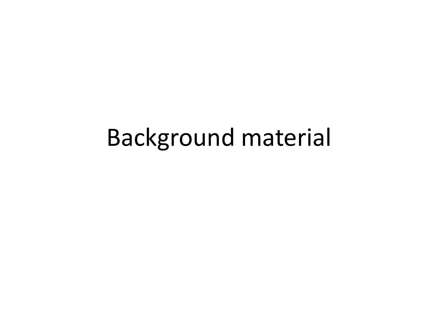#### Background material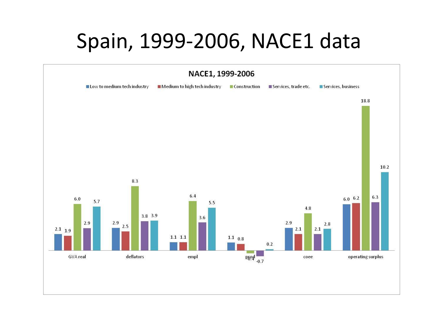#### Spain, 1999-2006, NACE1 data